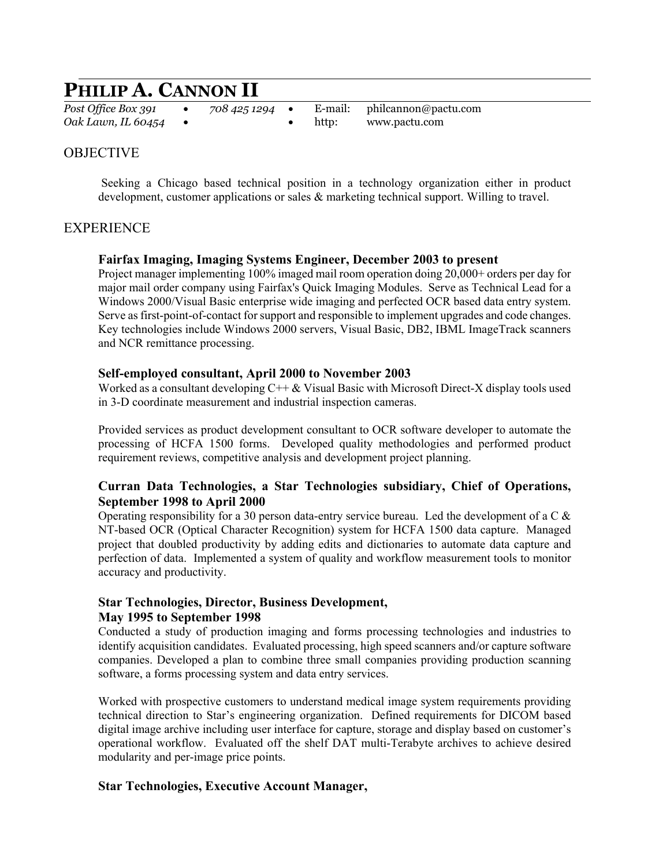# **PHILIP A. CANNON II**

*Post Office Box 391* • *708 425 1294* • E-mail: philcannon@pactu.com *Oak Lawn, IL 60454* •• http: www.pactu.com

# **OBJECTIVE**

 Seeking a Chicago based technical position in a technology organization either in product development, customer applications or sales  $\&$  marketing technical support. Willing to travel.

# **EXPERIENCE**

#### **Fairfax Imaging, Imaging Systems Engineer, December 2003 to present**

Project manager implementing 100% imaged mail room operation doing 20,000+ orders per day for major mail order company using Fairfax's Quick Imaging Modules. Serve as Technical Lead for a Windows 2000/Visual Basic enterprise wide imaging and perfected OCR based data entry system. Serve as first-point-of-contact for support and responsible to implement upgrades and code changes. Key technologies include Windows 2000 servers, Visual Basic, DB2, IBML ImageTrack scanners and NCR remittance processing.

#### **Self-employed consultant, April 2000 to November 2003**

Worked as a consultant developing  $C++\&$  Visual Basic with Microsoft Direct-X display tools used in 3-D coordinate measurement and industrial inspection cameras.

Provided services as product development consultant to OCR software developer to automate the processing of HCFA 1500 forms. Developed quality methodologies and performed product requirement reviews, competitive analysis and development project planning.

## **Curran Data Technologies, a Star Technologies subsidiary, Chief of Operations, September 1998 to April 2000**

Operating responsibility for a 30 person data-entry service bureau. Led the development of a C  $\&$ NT-based OCR (Optical Character Recognition) system for HCFA 1500 data capture. Managed project that doubled productivity by adding edits and dictionaries to automate data capture and perfection of data. Implemented a system of quality and workflow measurement tools to monitor accuracy and productivity.

## **Star Technologies, Director, Business Development, May 1995 to September 1998**

Conducted a study of production imaging and forms processing technologies and industries to identify acquisition candidates. Evaluated processing, high speed scanners and/or capture software companies. Developed a plan to combine three small companies providing production scanning software, a forms processing system and data entry services.

Worked with prospective customers to understand medical image system requirements providing technical direction to Star's engineering organization. Defined requirements for DICOM based digital image archive including user interface for capture, storage and display based on customer's operational workflow. Evaluated off the shelf DAT multi-Terabyte archives to achieve desired modularity and per-image price points.

#### **Star Technologies, Executive Account Manager,**